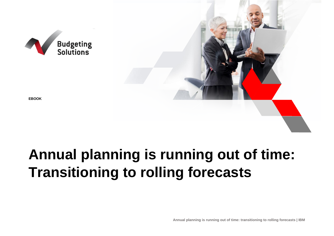

# **Annual planning is running out of time: Transitioning to rolling forecasts**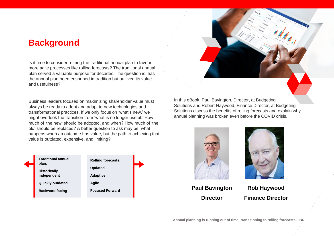### **Background**

Is it time to consider retiring the traditional annual plan to favour more agile processes like rolling forecasts? The traditional annual plan served a valuable purpose for decades. The question is, has the annual plan been enshrined in tradition but outlived its value and usefulness?

Business leaders focused on maximizing shareholder value must always be ready to adopt and adapt to new technologies and transformational practices. If we only focus on 'what's new,' we might overlook the transition from 'what is no longer useful.' How much of 'the new' should be adopted, and when? How much of 'the old' should be replaced? A better question to ask may be: what happens when an outcome has value, but the path to achieving that value is outdated, expensive, and limiting?





In this eBook, Paul Bavington, Director, at Budgeting Solutions and Robert Haywood, Finance Director, at Budgeting Solutions discuss the benefits of rolling forecasts and explain why annual planning was broken even before the COVID crisis.





**Director**

**Rob Haywood Finance Director**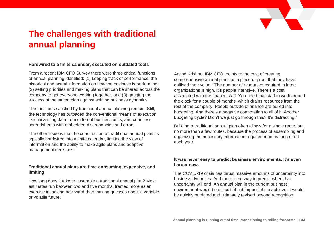

# **The challenges with traditional annual planning**

#### **Hardwired to a finite calendar, executed on outdated tools**

From a recent IBM CFO Survey there were three critical functions of annual planning identified: (1) keeping track of performance; the historical and actual information on how the business is performing, (2) setting priorities and making plans that can be shared across the company to get everyone working together, and (3) gauging the success of the stated plan against shifting business dynamics.

The functions satisfied by traditional annual planning remain. Still, the technology has outpaced the conventional means of execution like harvesting data from different business units, and countless spreadsheets with embedded discrepancies and errors.

The other issue is that the construction of traditional annual plans is typically hardwired into a finite calendar, limiting the view of information and the ability to make agile plans and adaptive management decisions.

#### **Traditional annual plans are time-consuming, expensive, and limiting**

How long does it take to assemble a traditional annual plan? Most estimates run between two and five months, framed more as an exercise in looking backward than making guesses about a variable or volatile future.

Arvind Krishna, IBM CEO, points to the cost of creating comprehensive annual plans as a piece of proof that they have outlived their value. "The number of resources required in large organizations is high. It's people intensive. There's a cost associated with the finance staff. You need that staff to work around the clock for a couple of months, which drains resources from the rest of the company. People outside of finance are pulled into budgeting. And there's a negative connotation to all of it: Another budgeting cycle? Didn't we just go through this? It's distracting."

Building a traditional annual plan often allows for a single route, but no more than a few routes, because the process of assembling and organizing the necessary information required months-long effort each year.

#### **It was never easy to predict business environments. It's even harder now.**

The COVID-19 crisis has thrust massive amounts of uncertainty into business dynamics. And there is no way to predict when that uncertainty will end. An annual plan in the current business environment would be difficult, if not impossible to achieve; it would be quickly outdated and ultimately revised beyond recognition.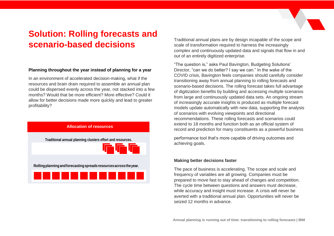# **Solution: Rolling forecasts and scenario-based decisions**

#### **Planning throughout the year instead of planning for a year**

In an environment of accelerated decision-making, what if the resources and brain drain required to assemble an annual plan could be dispersed evenly across the year, not stacked into a few months? Would that be more efficient? More effective? Could it allow for better decisions made more quickly and lead to greater profitability?



Traditional annual plans are by design incapable of the scope and scale of transformation required to harness the increasingly complex and continuously updated data and signals that flow in and out of an entirely digitized enterprise.

"The question is," asks Paul Bavington, Budgeting Solutions' Director, "can we do better? I say we can." In the wake of the COVID crisis, Bavington feels companies should carefully consider transitioning away from annual planning to rolling forecasts and scenario-based decisions. The rolling forecast takes full advantage of digitization benefits by building and accessing multiple scenarios from large and continuously updated data sets. An ongoing stream of increasingly accurate insights is produced as multiple forecast models update automatically with new data, supporting the analysis of scenarios with evolving viewpoints and directional recommendations. These rolling forecasts and scenarios could extend to 18 months and function both as an official system of record and prediction for many constituents as a powerful business

performance tool that's more capable of driving outcomes and achieving goals.

#### **Making better decisions faster**

The pace of business is accelerating. The scope and scale and frequency of variables are all growing. Companies must be prepared to move fast to stay ahead of changes and competition. The cycle time between questions and answers must decrease, while accuracy and insight must increase. A crisis will never be averted with a traditional annual plan. Opportunities will never be seized 12 months in advance.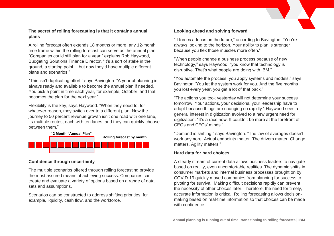#### **The secret of rolling forecasting is that it contains annual plans**

A rolling forecast often extends 18 months or more; any 12-month time frame within the rolling forecast can serve as the annual plan. "Companies could still plan for a year," explains Rob Haywood, Budgeting Solutions Finance Director. "It's a sort of stake in the ground, a starting point… but now they'd have multiple different plans and scenarios."

"This isn't duplicating effort," says Bavington. "A year of planning is always ready and available to become the annual plan if needed. You pick a point in time each year, for example, October, and that becomes the plan for the next year."

Flexibility is the key, says Haywood. "When they need to, for whatever reason, they switch over to a different plan. Now the journey to 50 percent revenue growth isn't one road with one lane, its multiple routes, each with ten lanes, and they can quickly choose between them."



#### **Confidence through uncertainty**

The multiple scenarios offered through rolling forecasting provide the most assured means of achieving success. Companies can create and evaluate a variety of options based on a range of data sets and assumptions.

Scenarios can be constructed to address shifting priorities, for example, liquidity, cash flow, and the workforce.

#### **Looking ahead and solving forward**

"It forces a focus on the future," according to Bavington. "You're always looking to the horizon. Your ability to plan is stronger because you flex those muscles more often."

"When people change a business process because of new technology," says Haywood, "you know that technology is disruptive. That's what people are doing with IBM."

"You automate the process, you apply systems and models," says Bavington "You let the system work for you. And the five months you lost every year, you get a lot of that back."

"The actions you took yesterday will not determine your success tomorrow. Your actions, your decisions, your leadership have to adapt because things are changing so rapidly." Haywood sees a general interest in digitization evolved to a new urgent need for digitization. "It's a race now. It couldn't be more at the forefront of CEOs and CFOs' minds."

"Demand is shifting," says Bavington. "The law of averages doesn't work anymore. Actual endpoints matter. The drivers matter. Change matters. Agility matters."

#### **Hard data for hard choices**

A steady stream of current data allows business leaders to navigate based on reality, even uncomfortable realities. The dynamic shifts in consumer markets and internal business processes brought on by COVID-19 quickly moved companies from planning for success to pivoting for survival. Making difficult decisions rapidly can prevent the necessity of other choices later. Therefore, the need for timely, accurate information is critical. Rolling forecasting allows decisionmaking based on real-time information so that choices can be made with confidence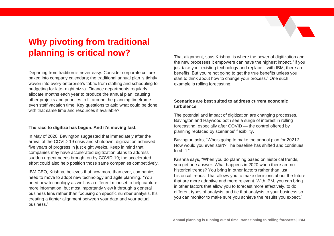# **Why pivoting from traditional planning is critical now?**

Departing from tradition is never easy. Consider corporate culture baked into company calendars; the traditional annual plan is tightly woven into every enterprise's fabric from staffing and scheduling to budgeting for late- night pizza. Finance departments regularly allocate months each year to produce the annual plan, causing other projects and priorities to fit around the planning timeframe even staff vacation time. Key questions to ask: what could be done with that same time and resources if available?

#### **The race to digitize has begun. And it's moving fast.**

In May of 2020, Bavington suggested that immediately after the arrival of the COVID-19 crisis and shutdown, digitization achieved five years of progress in just eight weeks. Keep in mind that companies may have accelerated digitization plans to address sudden urgent needs brought on by COVID-19; the accelerated effort could also help position those same companies competitively.

IBM CEO, Krishna, believes that now more than ever, companies need to move to adopt new technology and agile planning. "You need new technology as well as a different mindset to help capture more information, but most importantly view it through a general business lens rather than focusing on specific number analysis. It's creating a tighter alignment between your data and your actual business."

That alignment, says Krishna, is where the power of digitization and the new processes it empowers can have the highest impact. "If you just take your existing technology and replace it with IBM, there are benefits. But you're not going to get the true benefits unless you start to think about how to change your process." One such example is rolling forecasting.

#### **Scenarios are best suited to address current economic turbulence**

The potential and impact of digitization are changing processes. Bavington and Haywood both see a surge of interest in rolling forecasting, especially after COVID — the control offered by planning replaced by scenarios' flexibility.

Bavington asks, "Who's going to make the annual plan for 2021? How would you even start? The baseline has shifted and continues to shift."

Krishna says, "When you do planning based on historical trends, you get one answer. What happens in 2020 when there are no historical trends? You bring in other factors rather than just historical trends. That allows you to make decisions about the future that are more adaptive and more relevant. With IBM, you can bring in other factors that allow you to forecast more effectively, to do different types of analysis, and tie that analysis to your business so you can monitor to make sure you achieve the results you expect."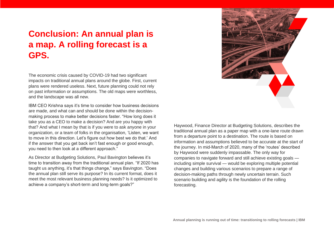### **Conclusion: An annual plan is a map. A rolling forecast is a GPS.**

The economic crisis caused by COVID-19 had two significant impacts on traditional annual plans around the globe. First, current plans were rendered useless. Next, future planning could not rely on past information or assumptions. The old maps were worthless, and the landscape was all new.

IBM CEO Krishna says it's time to consider how business decisions are made, and what can and should be done within the decisionmaking process to make better decisions faster. "How long does it take you as a CEO to make a decision? And are you happy with that? And what I mean by that is if you were to ask anyone in your organization, or a team of folks in the organisation, 'Listen, we want to move in this direction. Let's figure out how best we do that.' And if the answer that you get back isn't fast enough or good enough, you need to then look at a different approach."

As Director at Budgeting Solutions, Paul Bavington believes it's time to transition away from the traditional annual plan. "If 2020 has taught us anything, it's that things change," says Bavington. "Does the annual plan still serve its purpose? In its current format, does it meet the most relevant business planning needs? Is it optimized to achieve a company's short-term and long-term goals?"



Haywood, Finance Director at Budgeting Solutions, describes the traditional annual plan as a paper map with a one-lane route drawn from a departure point to a destination. The route is based on information and assumptions believed to be accurate at the start of the journey. In mid-March of 2020, many of the 'routes' described by Haywood were suddenly impassable. The only way for companies to navigate forward and still achieve existing goals including simple survival — would be exploring multiple potential changes and building various scenarios to prepare a range of decision-making paths through newly uncertain terrain. Such scenario building and agility is the foundation of the rolling forecasting.